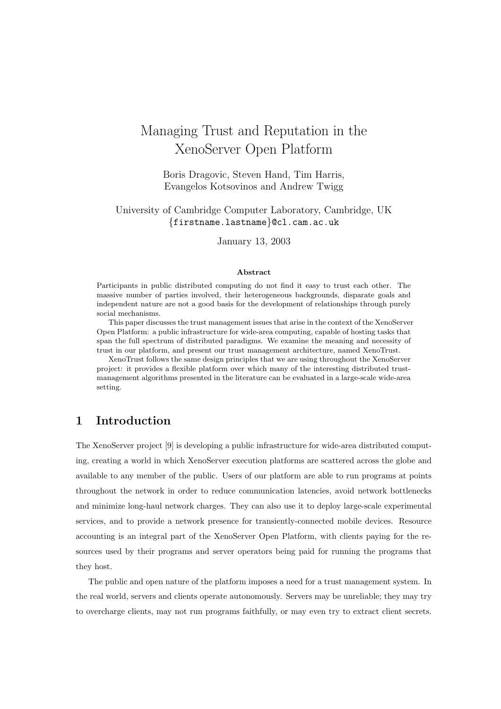# Managing Trust and Reputation in the XenoServer Open Platform

Boris Dragovic, Steven Hand, Tim Harris, Evangelos Kotsovinos and Andrew Twigg

University of Cambridge Computer Laboratory, Cambridge, UK {firstname.lastname}@cl.cam.ac.uk

January 13, 2003

#### Abstract

Participants in public distributed computing do not find it easy to trust each other. The massive number of parties involved, their heterogeneous backgrounds, disparate goals and independent nature are not a good basis for the development of relationships through purely social mechanisms.

This paper discusses the trust management issues that arise in the context of the XenoServer Open Platform: a public infrastructure for wide-area computing, capable of hosting tasks that span the full spectrum of distributed paradigms. We examine the meaning and necessity of trust in our platform, and present our trust management architecture, named XenoTrust.

XenoTrust follows the same design principles that we are using throughout the XenoServer project: it provides a flexible platform over which many of the interesting distributed trustmanagement algorithms presented in the literature can be evaluated in a large-scale wide-area setting.

### 1 Introduction

The XenoServer project [9] is developing a public infrastructure for wide-area distributed computing, creating a world in which XenoServer execution platforms are scattered across the globe and available to any member of the public. Users of our platform are able to run programs at points throughout the network in order to reduce communication latencies, avoid network bottlenecks and minimize long-haul network charges. They can also use it to deploy large-scale experimental services, and to provide a network presence for transiently-connected mobile devices. Resource accounting is an integral part of the XenoServer Open Platform, with clients paying for the resources used by their programs and server operators being paid for running the programs that they host.

The public and open nature of the platform imposes a need for a trust management system. In the real world, servers and clients operate autonomously. Servers may be unreliable; they may try to overcharge clients, may not run programs faithfully, or may even try to extract client secrets.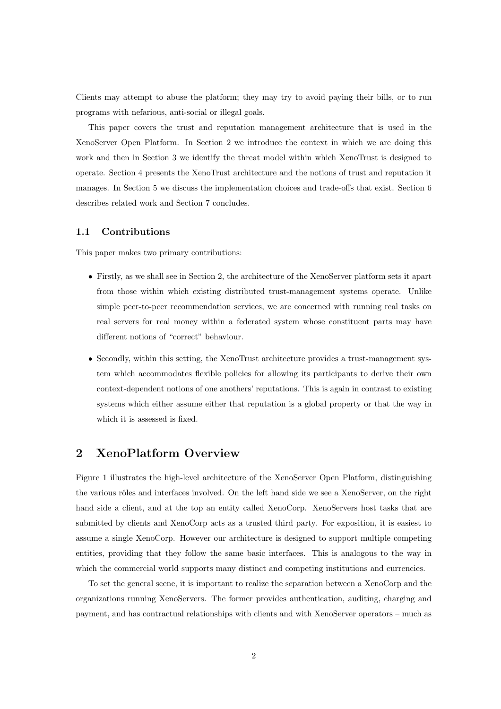Clients may attempt to abuse the platform; they may try to avoid paying their bills, or to run programs with nefarious, anti-social or illegal goals.

This paper covers the trust and reputation management architecture that is used in the XenoServer Open Platform. In Section 2 we introduce the context in which we are doing this work and then in Section 3 we identify the threat model within which XenoTrust is designed to operate. Section 4 presents the XenoTrust architecture and the notions of trust and reputation it manages. In Section 5 we discuss the implementation choices and trade-offs that exist. Section 6 describes related work and Section 7 concludes.

#### 1.1 Contributions

This paper makes two primary contributions:

- Firstly, as we shall see in Section 2, the architecture of the XenoServer platform sets it apart from those within which existing distributed trust-management systems operate. Unlike simple peer-to-peer recommendation services, we are concerned with running real tasks on real servers for real money within a federated system whose constituent parts may have different notions of "correct" behaviour.
- Secondly, within this setting, the XenoTrust architecture provides a trust-management system which accommodates flexible policies for allowing its participants to derive their own context-dependent notions of one anothers' reputations. This is again in contrast to existing systems which either assume either that reputation is a global property or that the way in which it is assessed is fixed.

### 2 XenoPlatform Overview

Figure 1 illustrates the high-level architecture of the XenoServer Open Platform, distinguishing the various rôles and interfaces involved. On the left hand side we see a XenoServer, on the right hand side a client, and at the top an entity called XenoCorp. XenoServers host tasks that are submitted by clients and XenoCorp acts as a trusted third party. For exposition, it is easiest to assume a single XenoCorp. However our architecture is designed to support multiple competing entities, providing that they follow the same basic interfaces. This is analogous to the way in which the commercial world supports many distinct and competing institutions and currencies.

To set the general scene, it is important to realize the separation between a XenoCorp and the organizations running XenoServers. The former provides authentication, auditing, charging and payment, and has contractual relationships with clients and with XenoServer operators – much as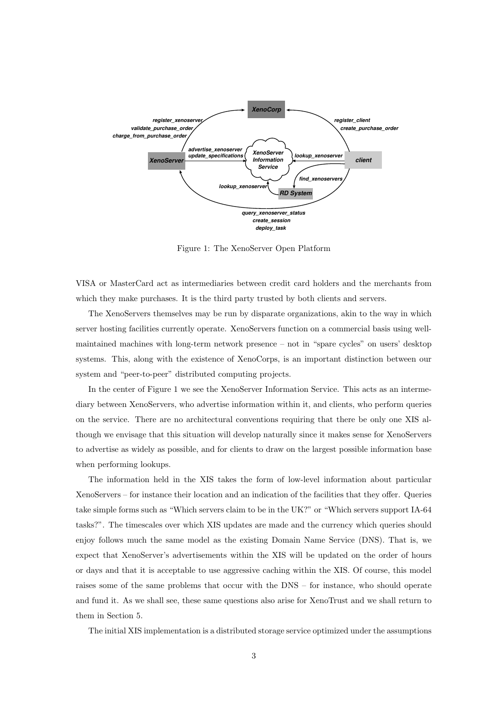

Figure 1: The XenoServer Open Platform

VISA or MasterCard act as intermediaries between credit card holders and the merchants from which they make purchases. It is the third party trusted by both clients and servers.

The XenoServers themselves may be run by disparate organizations, akin to the way in which server hosting facilities currently operate. XenoServers function on a commercial basis using wellmaintained machines with long-term network presence – not in "spare cycles" on users' desktop systems. This, along with the existence of XenoCorps, is an important distinction between our system and "peer-to-peer" distributed computing projects.

In the center of Figure 1 we see the XenoServer Information Service. This acts as an intermediary between XenoServers, who advertise information within it, and clients, who perform queries on the service. There are no architectural conventions requiring that there be only one XIS although we envisage that this situation will develop naturally since it makes sense for XenoServers to advertise as widely as possible, and for clients to draw on the largest possible information base when performing lookups.

The information held in the XIS takes the form of low-level information about particular XenoServers – for instance their location and an indication of the facilities that they offer. Queries take simple forms such as "Which servers claim to be in the UK?" or "Which servers support IA-64 tasks?". The timescales over which XIS updates are made and the currency which queries should enjoy follows much the same model as the existing Domain Name Service (DNS). That is, we expect that XenoServer's advertisements within the XIS will be updated on the order of hours or days and that it is acceptable to use aggressive caching within the XIS. Of course, this model raises some of the same problems that occur with the DNS – for instance, who should operate and fund it. As we shall see, these same questions also arise for XenoTrust and we shall return to them in Section 5.

The initial XIS implementation is a distributed storage service optimized under the assumptions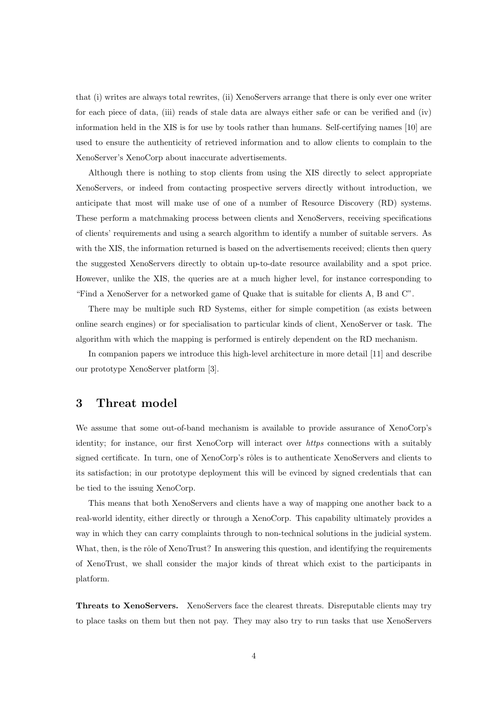that (i) writes are always total rewrites, (ii) XenoServers arrange that there is only ever one writer for each piece of data, (iii) reads of stale data are always either safe or can be verified and (iv) information held in the XIS is for use by tools rather than humans. Self-certifying names [10] are used to ensure the authenticity of retrieved information and to allow clients to complain to the XenoServer's XenoCorp about inaccurate advertisements.

Although there is nothing to stop clients from using the XIS directly to select appropriate XenoServers, or indeed from contacting prospective servers directly without introduction, we anticipate that most will make use of one of a number of Resource Discovery (RD) systems. These perform a matchmaking process between clients and XenoServers, receiving specifications of clients' requirements and using a search algorithm to identify a number of suitable servers. As with the XIS, the information returned is based on the advertisements received; clients then query the suggested XenoServers directly to obtain up-to-date resource availability and a spot price. However, unlike the XIS, the queries are at a much higher level, for instance corresponding to "Find a XenoServer for a networked game of Quake that is suitable for clients A, B and C".

There may be multiple such RD Systems, either for simple competition (as exists between online search engines) or for specialisation to particular kinds of client, XenoServer or task. The algorithm with which the mapping is performed is entirely dependent on the RD mechanism.

In companion papers we introduce this high-level architecture in more detail [11] and describe our prototype XenoServer platform [3].

### 3 Threat model

We assume that some out-of-band mechanism is available to provide assurance of XenoCorp's identity; for instance, our first XenoCorp will interact over https connections with a suitably signed certificate. In turn, one of XenoCorp's rôles is to authenticate XenoServers and clients to its satisfaction; in our prototype deployment this will be evinced by signed credentials that can be tied to the issuing XenoCorp.

This means that both XenoServers and clients have a way of mapping one another back to a real-world identity, either directly or through a XenoCorp. This capability ultimately provides a way in which they can carry complaints through to non-technical solutions in the judicial system. What, then, is the rôle of XenoTrust? In answering this question, and identifying the requirements of XenoTrust, we shall consider the major kinds of threat which exist to the participants in platform.

Threats to XenoServers. XenoServers face the clearest threats. Disreputable clients may try to place tasks on them but then not pay. They may also try to run tasks that use XenoServers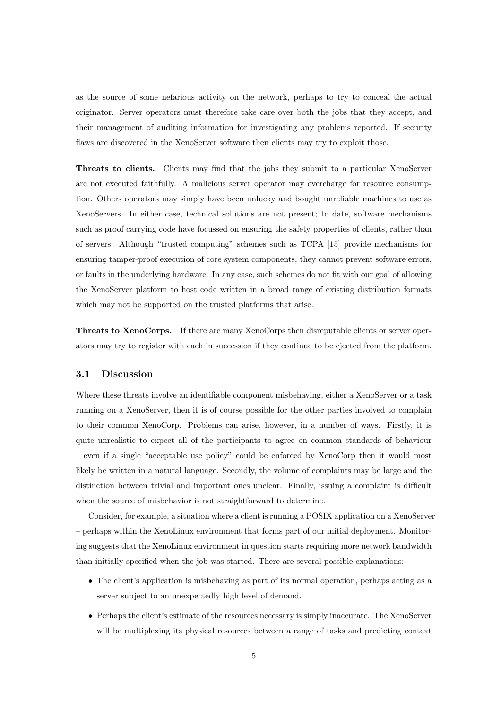as the source of some nefarious activity on the network, perhaps to try to conceal the actual originator. Server operators must therefore take care over both the jobs that they accept, and their management of auditing information for investigating any problems reported. If security flaws are discovered in the XenoServer software then clients may try to exploit those.

Threats to clients. Clients may find that the jobs they submit to a particular XenoServer are not executed faithfully. A malicious server operator may overcharge for resource consumption. Others operators may simply have been unlucky and bought unreliable machines to use as XenoServers. In either case, technical solutions are not present; to date, software mechanisms such as proof carrying code have focussed on ensuring the safety properties of clients, rather than of servers. Although "trusted computing" schemes such as TCPA [15] provide mechanisms for ensuring tamper-proof execution of core system components, they cannot prevent software errors, or faults in the underlying hardware. In any case, such schemes do not fit with our goal of allowing the XenoServer platform to host code written in a broad range of existing distribution formats which may not be supported on the trusted platforms that arise.

Threats to XenoCorps. If there are many XenoCorps then disreputable clients or server operators may try to register with each in succession if they continue to be ejected from the platform.

### 3.1 Discussion

Where these threats involve an identifiable component misbehaving, either a XenoServer or a task running on a XenoServer, then it is of course possible for the other parties involved to complain to their common XenoCorp. Problems can arise, however, in a number of ways. Firstly, it is quite unrealistic to expect all of the participants to agree on common standards of behaviour – even if a single "acceptable use policy" could be enforced by XenoCorp then it would most likely be written in a natural language. Secondly, the volume of complaints may be large and the distinction between trivial and important ones unclear. Finally, issuing a complaint is difficult when the source of misbehavior is not straightforward to determine.

Consider, for example, a situation where a client is running a POSIX application on a XenoServer – perhaps within the XenoLinux environment that forms part of our initial deployment. Monitoring suggests that the XenoLinux environment in question starts requiring more network bandwidth than initially specified when the job was started. There are several possible explanations:

- The client's application is misbehaving as part of its normal operation, perhaps acting as a server subject to an unexpectedly high level of demand.
- Perhaps the client's estimate of the resources necessary is simply inaccurate. The XenoServer will be multiplexing its physical resources between a range of tasks and predicting context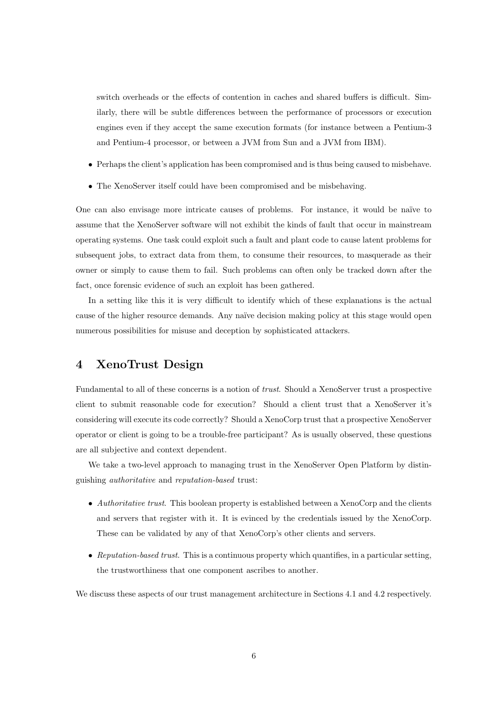switch overheads or the effects of contention in caches and shared buffers is difficult. Similarly, there will be subtle differences between the performance of processors or execution engines even if they accept the same execution formats (for instance between a Pentium-3 and Pentium-4 processor, or between a JVM from Sun and a JVM from IBM).

- Perhaps the client's application has been compromised and is thus being caused to misbehave.
- The XenoServer itself could have been compromised and be misbehaving.

One can also envisage more intricate causes of problems. For instance, it would be naïve to assume that the XenoServer software will not exhibit the kinds of fault that occur in mainstream operating systems. One task could exploit such a fault and plant code to cause latent problems for subsequent jobs, to extract data from them, to consume their resources, to masquerade as their owner or simply to cause them to fail. Such problems can often only be tracked down after the fact, once forensic evidence of such an exploit has been gathered.

In a setting like this it is very difficult to identify which of these explanations is the actual cause of the higher resource demands. Any naïve decision making policy at this stage would open numerous possibilities for misuse and deception by sophisticated attackers.

### 4 XenoTrust Design

Fundamental to all of these concerns is a notion of trust. Should a XenoServer trust a prospective client to submit reasonable code for execution? Should a client trust that a XenoServer it's considering will execute its code correctly? Should a XenoCorp trust that a prospective XenoServer operator or client is going to be a trouble-free participant? As is usually observed, these questions are all subjective and context dependent.

We take a two-level approach to managing trust in the XenoServer Open Platform by distinguishing authoritative and reputation-based trust:

- $\bullet$  Authoritative trust. This boolean property is established between a XenoCorp and the clients and servers that register with it. It is evinced by the credentials issued by the XenoCorp. These can be validated by any of that XenoCorp's other clients and servers.
- Reputation-based trust. This is a continuous property which quantifies, in a particular setting, the trustworthiness that one component ascribes to another.

We discuss these aspects of our trust management architecture in Sections 4.1 and 4.2 respectively.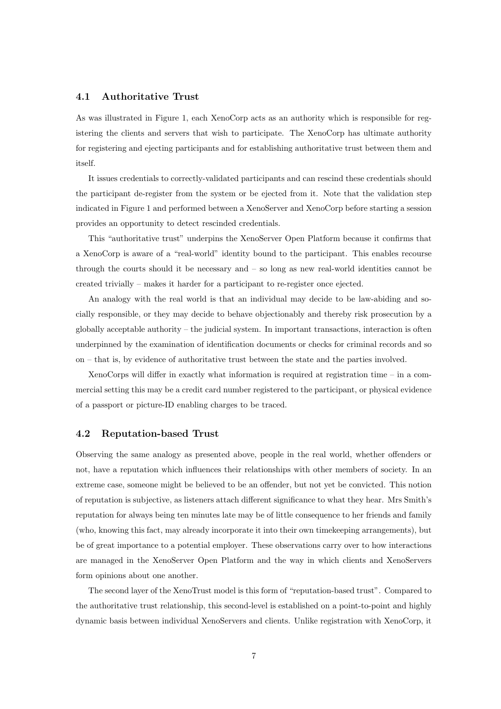#### 4.1 Authoritative Trust

As was illustrated in Figure 1, each XenoCorp acts as an authority which is responsible for registering the clients and servers that wish to participate. The XenoCorp has ultimate authority for registering and ejecting participants and for establishing authoritative trust between them and itself.

It issues credentials to correctly-validated participants and can rescind these credentials should the participant de-register from the system or be ejected from it. Note that the validation step indicated in Figure 1 and performed between a XenoServer and XenoCorp before starting a session provides an opportunity to detect rescinded credentials.

This "authoritative trust" underpins the XenoServer Open Platform because it confirms that a XenoCorp is aware of a "real-world" identity bound to the participant. This enables recourse through the courts should it be necessary and  $-$  so long as new real-world identities cannot be created trivially – makes it harder for a participant to re-register once ejected.

An analogy with the real world is that an individual may decide to be law-abiding and socially responsible, or they may decide to behave objectionably and thereby risk prosecution by a globally acceptable authority – the judicial system. In important transactions, interaction is often underpinned by the examination of identification documents or checks for criminal records and so on – that is, by evidence of authoritative trust between the state and the parties involved.

XenoCorps will differ in exactly what information is required at registration time  $-$  in a commercial setting this may be a credit card number registered to the participant, or physical evidence of a passport or picture-ID enabling charges to be traced.

#### 4.2 Reputation-based Trust

Observing the same analogy as presented above, people in the real world, whether offenders or not, have a reputation which influences their relationships with other members of society. In an extreme case, someone might be believed to be an offender, but not yet be convicted. This notion of reputation is subjective, as listeners attach different significance to what they hear. Mrs Smith's reputation for always being ten minutes late may be of little consequence to her friends and family (who, knowing this fact, may already incorporate it into their own timekeeping arrangements), but be of great importance to a potential employer. These observations carry over to how interactions are managed in the XenoServer Open Platform and the way in which clients and XenoServers form opinions about one another.

The second layer of the XenoTrust model is this form of "reputation-based trust". Compared to the authoritative trust relationship, this second-level is established on a point-to-point and highly dynamic basis between individual XenoServers and clients. Unlike registration with XenoCorp, it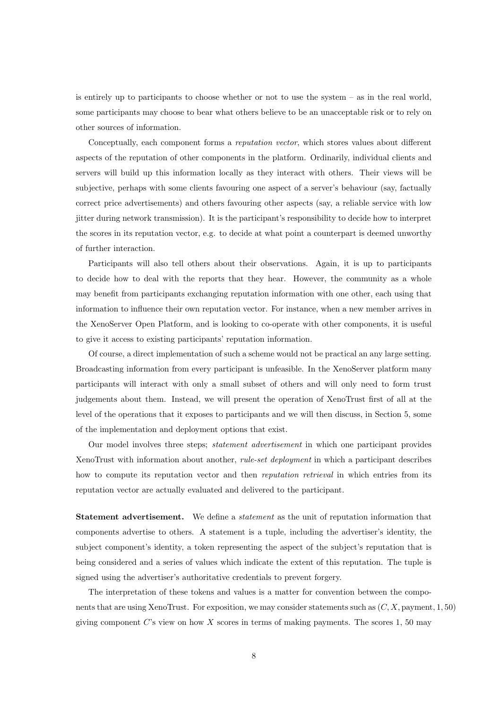is entirely up to participants to choose whether or not to use the system – as in the real world, some participants may choose to bear what others believe to be an unacceptable risk or to rely on other sources of information.

Conceptually, each component forms a reputation vector, which stores values about different aspects of the reputation of other components in the platform. Ordinarily, individual clients and servers will build up this information locally as they interact with others. Their views will be subjective, perhaps with some clients favouring one aspect of a server's behaviour (say, factually correct price advertisements) and others favouring other aspects (say, a reliable service with low jitter during network transmission). It is the participant's responsibility to decide how to interpret the scores in its reputation vector, e.g. to decide at what point a counterpart is deemed unworthy of further interaction.

Participants will also tell others about their observations. Again, it is up to participants to decide how to deal with the reports that they hear. However, the community as a whole may benefit from participants exchanging reputation information with one other, each using that information to influence their own reputation vector. For instance, when a new member arrives in the XenoServer Open Platform, and is looking to co-operate with other components, it is useful to give it access to existing participants' reputation information.

Of course, a direct implementation of such a scheme would not be practical an any large setting. Broadcasting information from every participant is unfeasible. In the XenoServer platform many participants will interact with only a small subset of others and will only need to form trust judgements about them. Instead, we will present the operation of XenoTrust first of all at the level of the operations that it exposes to participants and we will then discuss, in Section 5, some of the implementation and deployment options that exist.

Our model involves three steps; statement advertisement in which one participant provides XenoTrust with information about another, *rule-set deployment* in which a participant describes how to compute its reputation vector and then reputation retrieval in which entries from its reputation vector are actually evaluated and delivered to the participant.

Statement advertisement. We define a statement as the unit of reputation information that components advertise to others. A statement is a tuple, including the advertiser's identity, the subject component's identity, a token representing the aspect of the subject's reputation that is being considered and a series of values which indicate the extent of this reputation. The tuple is signed using the advertiser's authoritative credentials to prevent forgery.

The interpretation of these tokens and values is a matter for convention between the components that are using XenoTrust. For exposition, we may consider statements such as  $(C, X,$  payment, 1, 50) giving component  $C$ 's view on how  $X$  scores in terms of making payments. The scores 1, 50 may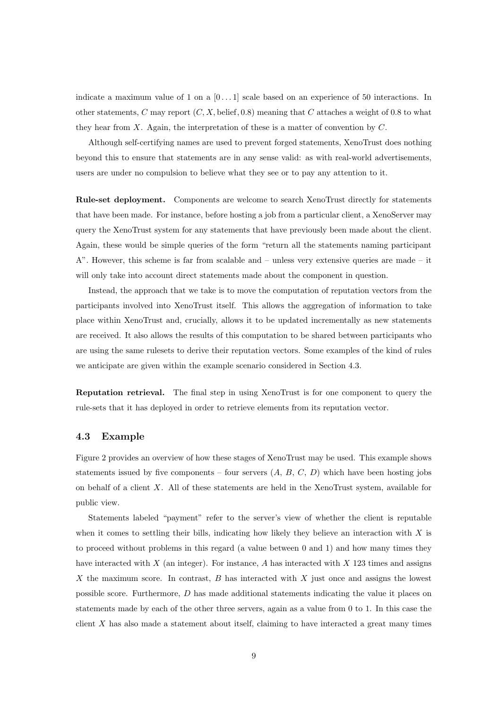indicate a maximum value of 1 on a  $[0 \dots 1]$  scale based on an experience of 50 interactions. In other statements, C may report  $(C, X, \text{belief}, 0.8)$  meaning that C attaches a weight of 0.8 to what they hear from  $X$ . Again, the interpretation of these is a matter of convention by  $C$ .

Although self-certifying names are used to prevent forged statements, XenoTrust does nothing beyond this to ensure that statements are in any sense valid: as with real-world advertisements, users are under no compulsion to believe what they see or to pay any attention to it.

Rule-set deployment. Components are welcome to search XenoTrust directly for statements that have been made. For instance, before hosting a job from a particular client, a XenoServer may query the XenoTrust system for any statements that have previously been made about the client. Again, these would be simple queries of the form "return all the statements naming participant A". However, this scheme is far from scalable and – unless very extensive queries are made – it will only take into account direct statements made about the component in question.

Instead, the approach that we take is to move the computation of reputation vectors from the participants involved into XenoTrust itself. This allows the aggregation of information to take place within XenoTrust and, crucially, allows it to be updated incrementally as new statements are received. It also allows the results of this computation to be shared between participants who are using the same rulesets to derive their reputation vectors. Some examples of the kind of rules we anticipate are given within the example scenario considered in Section 4.3.

Reputation retrieval. The final step in using XenoTrust is for one component to query the rule-sets that it has deployed in order to retrieve elements from its reputation vector.

#### 4.3 Example

Figure 2 provides an overview of how these stages of XenoTrust may be used. This example shows statements issued by five components – four servers  $(A, B, C, D)$  which have been hosting jobs on behalf of a client  $X$ . All of these statements are held in the XenoTrust system, available for public view.

Statements labeled "payment" refer to the server's view of whether the client is reputable when it comes to settling their bills, indicating how likely they believe an interaction with  $X$  is to proceed without problems in this regard (a value between 0 and 1) and how many times they have interacted with  $X$  (an integer). For instance,  $A$  has interacted with  $X$  123 times and assigns X the maximum score. In contrast,  $B$  has interacted with  $X$  just once and assigns the lowest possible score. Furthermore,  $D$  has made additional statements indicating the value it places on statements made by each of the other three servers, again as a value from 0 to 1. In this case the client  $X$  has also made a statement about itself, claiming to have interacted a great many times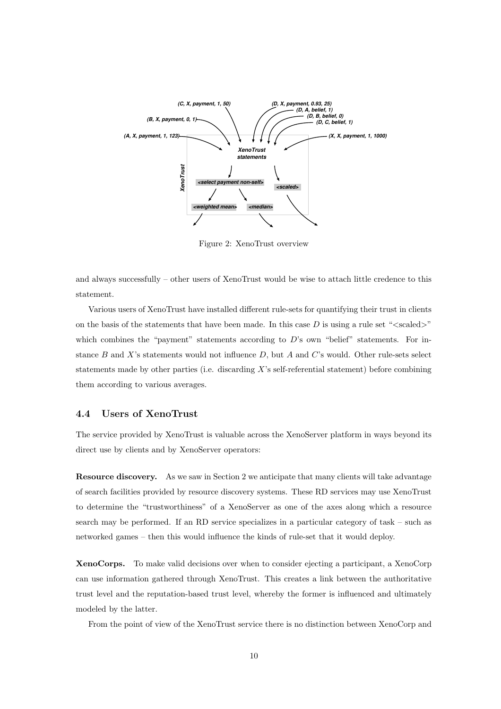

Figure 2: XenoTrust overview

and always successfully – other users of XenoTrust would be wise to attach little credence to this statement.

Various users of XenoTrust have installed different rule-sets for quantifying their trust in clients on the basis of the statements that have been made. In this case  $D$  is using a rule set " $\leq$ scaled $\geq$ " which combines the "payment" statements according to  $D$ 's own "belief" statements. For instance  $B$  and  $X$ 's statements would not influence  $D$ , but  $A$  and  $C$ 's would. Other rule-sets select statements made by other parties (i.e. discarding  $X$ 's self-referential statement) before combining them according to various averages.

#### 4.4 Users of XenoTrust

The service provided by XenoTrust is valuable across the XenoServer platform in ways beyond its direct use by clients and by XenoServer operators:

Resource discovery. As we saw in Section 2 we anticipate that many clients will take advantage of search facilities provided by resource discovery systems. These RD services may use XenoTrust to determine the "trustworthiness" of a XenoServer as one of the axes along which a resource search may be performed. If an RD service specializes in a particular category of task – such as networked games – then this would influence the kinds of rule-set that it would deploy.

XenoCorps. To make valid decisions over when to consider ejecting a participant, a XenoCorp can use information gathered through XenoTrust. This creates a link between the authoritative trust level and the reputation-based trust level, whereby the former is influenced and ultimately modeled by the latter.

From the point of view of the XenoTrust service there is no distinction between XenoCorp and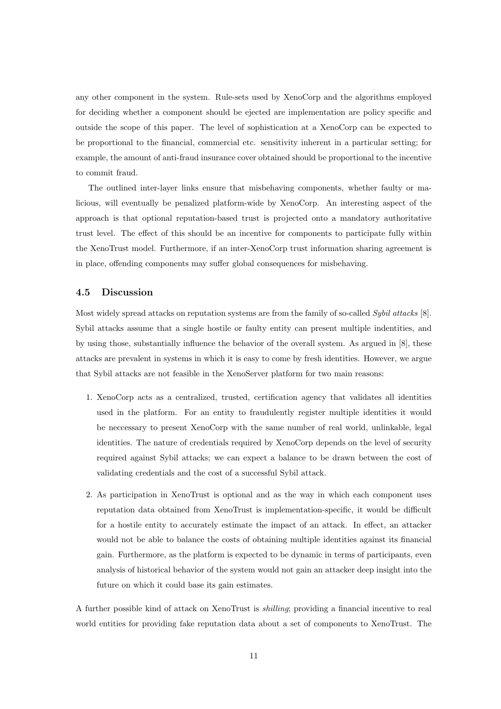any other component in the system. Rule-sets used by XenoCorp and the algorithms employed for deciding whether a component should be ejected are implementation are policy specific and outside the scope of this paper. The level of sophistication at a XenoCorp can be expected to be proportional to the financial, commercial etc. sensitivity inherent in a particular setting; for example, the amount of anti-fraud insurance cover obtained should be proportional to the incentive to commit fraud.

The outlined inter-layer links ensure that misbehaving components, whether faulty or malicious, will eventually be penalized platform-wide by XenoCorp. An interesting aspect of the approach is that optional reputation-based trust is projected onto a mandatory authoritative trust level. The effect of this should be an incentive for components to participate fully within the XenoTrust model. Furthermore, if an inter-XenoCorp trust information sharing agreement is in place, offending components may suffer global consequences for misbehaving.

#### 4.5 Discussion

Most widely spread attacks on reputation systems are from the family of so-called Sybil attacks [8]. Sybil attacks assume that a single hostile or faulty entity can present multiple indentities, and by using those, substantially influence the behavior of the overall system. As argued in [8], these attacks are prevalent in systems in which it is easy to come by fresh identities. However, we argue that Sybil attacks are not feasible in the XenoServer platform for two main reasons:

- 1. XenoCorp acts as a centralized, trusted, certification agency that validates all identities used in the platform. For an entity to fraudulently register multiple identities it would be neccessary to present XenoCorp with the same number of real world, unlinkable, legal identities. The nature of credentials required by XenoCorp depends on the level of security required against Sybil attacks; we can expect a balance to be drawn between the cost of validating credentials and the cost of a successful Sybil attack.
- 2. As participation in XenoTrust is optional and as the way in which each component uses reputation data obtained from XenoTrust is implementation-specific, it would be difficult for a hostile entity to accurately estimate the impact of an attack. In effect, an attacker would not be able to balance the costs of obtaining multiple identities against its financial gain. Furthermore, as the platform is expected to be dynamic in terms of participants, even analysis of historical behavior of the system would not gain an attacker deep insight into the future on which it could base its gain estimates.

A further possible kind of attack on XenoTrust is shilling; providing a financial incentive to real world entities for providing fake reputation data about a set of components to XenoTrust. The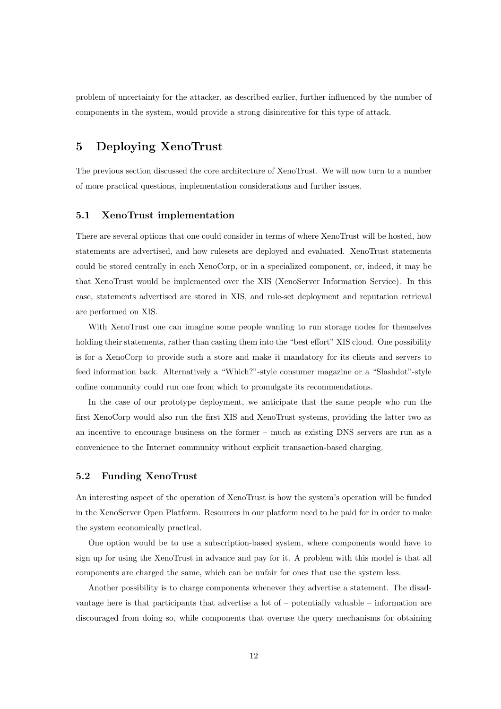problem of uncertainty for the attacker, as described earlier, further influenced by the number of components in the system, would provide a strong disincentive for this type of attack.

## 5 Deploying XenoTrust

The previous section discussed the core architecture of XenoTrust. We will now turn to a number of more practical questions, implementation considerations and further issues.

#### 5.1 XenoTrust implementation

There are several options that one could consider in terms of where XenoTrust will be hosted, how statements are advertised, and how rulesets are deployed and evaluated. XenoTrust statements could be stored centrally in each XenoCorp, or in a specialized component, or, indeed, it may be that XenoTrust would be implemented over the XIS (XenoServer Information Service). In this case, statements advertised are stored in XIS, and rule-set deployment and reputation retrieval are performed on XIS.

With XenoTrust one can imagine some people wanting to run storage nodes for themselves holding their statements, rather than casting them into the "best effort" XIS cloud. One possibility is for a XenoCorp to provide such a store and make it mandatory for its clients and servers to feed information back. Alternatively a "Which?"-style consumer magazine or a "Slashdot"-style online community could run one from which to promulgate its recommendations.

In the case of our prototype deployment, we anticipate that the same people who run the first XenoCorp would also run the first XIS and XenoTrust systems, providing the latter two as an incentive to encourage business on the former – much as existing DNS servers are run as a convenience to the Internet community without explicit transaction-based charging.

### 5.2 Funding XenoTrust

An interesting aspect of the operation of XenoTrust is how the system's operation will be funded in the XenoServer Open Platform. Resources in our platform need to be paid for in order to make the system economically practical.

One option would be to use a subscription-based system, where components would have to sign up for using the XenoTrust in advance and pay for it. A problem with this model is that all components are charged the same, which can be unfair for ones that use the system less.

Another possibility is to charge components whenever they advertise a statement. The disadvantage here is that participants that advertise a lot of – potentially valuable – information are discouraged from doing so, while components that overuse the query mechanisms for obtaining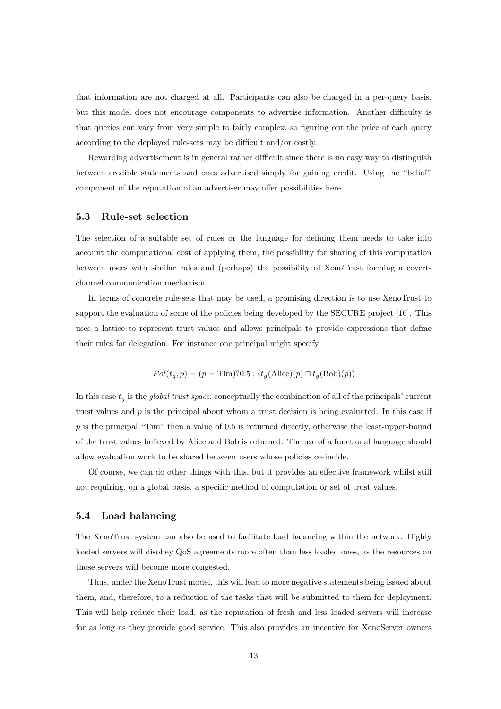that information are not charged at all. Participants can also be charged in a per-query basis, but this model does not encourage components to advertise information. Another difficulty is that queries can vary from very simple to fairly complex, so figuring out the price of each query according to the deployed rule-sets may be difficult and/or costly.

Rewarding advertisement is in general rather difficult since there is no easy way to distinguish between credible statements and ones advertised simply for gaining credit. Using the "belief" component of the reputation of an advertiser may offer possibilities here.

#### 5.3 Rule-set selection

The selection of a suitable set of rules or the language for defining them needs to take into account the computational cost of applying them, the possibility for sharing of this computation between users with similar rules and (perhaps) the possibility of XenoTrust forming a covertchannel communication mechanism.

In terms of concrete rule-sets that may be used, a promising direction is to use XenoTrust to support the evaluation of some of the policies being developed by the SECURE project [16]. This uses a lattice to represent trust values and allows principals to provide expressions that define their rules for delegation. For instance one principal might specify:

$$
Pol(t_g, p) = (p = Tim)?0.5 : (t_g(\text{Alice})(p) \sqcap t_g(\text{Bob})(p))
$$

In this case  $t_q$  is the *global trust space*, conceptually the combination of all of the principals' current trust values and  $p$  is the principal about whom a trust decision is being evaluated. In this case if  $p$  is the principal "Tim" then a value of 0.5 is returned directly, otherwise the least-upper-bound of the trust values believed by Alice and Bob is returned. The use of a functional language should allow evaluation work to be shared between users whose policies co-incide.

Of course, we can do other things with this, but it provides an effective framework whilst still not requiring, on a global basis, a specific method of computation or set of trust values.

#### 5.4 Load balancing

The XenoTrust system can also be used to facilitate load balancing within the network. Highly loaded servers will disobey QoS agreements more often than less loaded ones, as the resources on those servers will become more congested.

Thus, under the XenoTrust model, this will lead to more negative statements being issued about them, and, therefore, to a reduction of the tasks that will be submitted to them for deployment. This will help reduce their load, as the reputation of fresh and less loaded servers will increase for as long as they provide good service. This also provides an incentive for XenoServer owners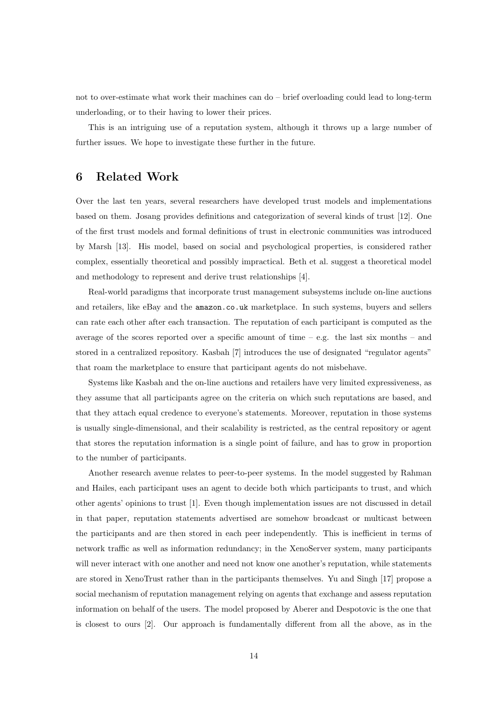not to over-estimate what work their machines can do – brief overloading could lead to long-term underloading, or to their having to lower their prices.

This is an intriguing use of a reputation system, although it throws up a large number of further issues. We hope to investigate these further in the future.

### 6 Related Work

Over the last ten years, several researchers have developed trust models and implementations based on them. Josang provides definitions and categorization of several kinds of trust [12]. One of the first trust models and formal definitions of trust in electronic communities was introduced by Marsh [13]. His model, based on social and psychological properties, is considered rather complex, essentially theoretical and possibly impractical. Beth et al. suggest a theoretical model and methodology to represent and derive trust relationships [4].

Real-world paradigms that incorporate trust management subsystems include on-line auctions and retailers, like eBay and the amazon.co.uk marketplace. In such systems, buyers and sellers can rate each other after each transaction. The reputation of each participant is computed as the average of the scores reported over a specific amount of time  $-$  e.g. the last six months  $-$  and stored in a centralized repository. Kasbah [7] introduces the use of designated "regulator agents" that roam the marketplace to ensure that participant agents do not misbehave.

Systems like Kasbah and the on-line auctions and retailers have very limited expressiveness, as they assume that all participants agree on the criteria on which such reputations are based, and that they attach equal credence to everyone's statements. Moreover, reputation in those systems is usually single-dimensional, and their scalability is restricted, as the central repository or agent that stores the reputation information is a single point of failure, and has to grow in proportion to the number of participants.

Another research avenue relates to peer-to-peer systems. In the model suggested by Rahman and Hailes, each participant uses an agent to decide both which participants to trust, and which other agents' opinions to trust [1]. Even though implementation issues are not discussed in detail in that paper, reputation statements advertised are somehow broadcast or multicast between the participants and are then stored in each peer independently. This is inefficient in terms of network traffic as well as information redundancy; in the XenoServer system, many participants will never interact with one another and need not know one another's reputation, while statements are stored in XenoTrust rather than in the participants themselves. Yu and Singh [17] propose a social mechanism of reputation management relying on agents that exchange and assess reputation information on behalf of the users. The model proposed by Aberer and Despotovic is the one that is closest to ours [2]. Our approach is fundamentally different from all the above, as in the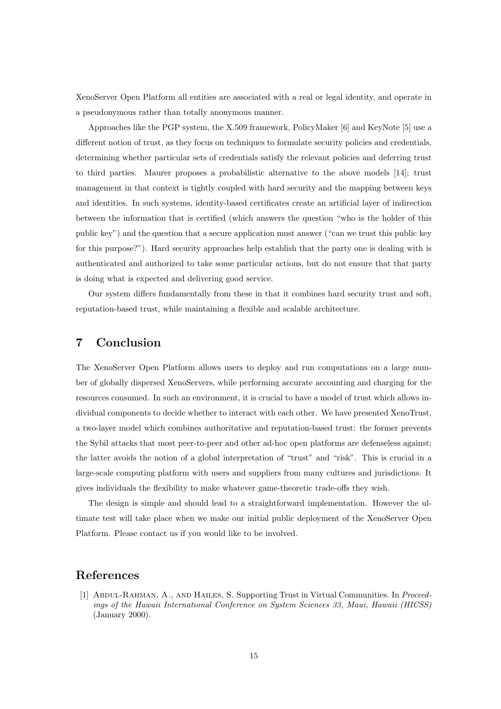XenoServer Open Platform all entities are associated with a real or legal identity, and operate in a pseudonymous rather than totally anonymous manner.

Approaches like the PGP system, the X.509 framework, PolicyMaker [6] and KeyNote [5] use a different notion of trust, as they focus on techniques to formulate security policies and credentials, determining whether particular sets of credentials satisfy the relevant policies and deferring trust to third parties. Maurer proposes a probabilistic alternative to the above models [14]; trust management in that context is tightly coupled with hard security and the mapping between keys and identities. In such systems, identity-based certificates create an artificial layer of indirection between the information that is certified (which answers the question "who is the holder of this public key") and the question that a secure application must answer ("can we trust this public key for this purpose?"). Hard security approaches help establish that the party one is dealing with is authenticated and authorized to take some particular actions, but do not ensure that that party is doing what is expected and delivering good service.

Our system differs fundamentally from these in that it combines hard security trust and soft, reputation-based trust, while maintaining a flexible and scalable architecture.

### 7 Conclusion

The XenoServer Open Platform allows users to deploy and run computations on a large number of globally dispersed XenoServers, while performing accurate accounting and charging for the resources consumed. In such an environment, it is crucial to have a model of trust which allows individual components to decide whether to interact with each other. We have presented XenoTrust, a two-layer model which combines authoritative and reputation-based trust: the former prevents the Sybil attacks that most peer-to-peer and other ad-hoc open platforms are defenseless against; the latter avoids the notion of a global interpretation of "trust" and "risk". This is crucial in a large-scale computing platform with users and suppliers from many cultures and jurisdictions. It gives individuals the flexibility to make whatever game-theoretic trade-offs they wish.

The design is simple and should lead to a straightforward implementation. However the ultimate test will take place when we make our initial public deployment of the XenoServer Open Platform. Please contact us if you would like to be involved.

### References

[1] Abdul-Rahman, A., and Hailes, S. Supporting Trust in Virtual Communities. In Proceedings of the Hawaii International Conference on System Sciences 33, Maui, Hawaii (HICSS) (January 2000).